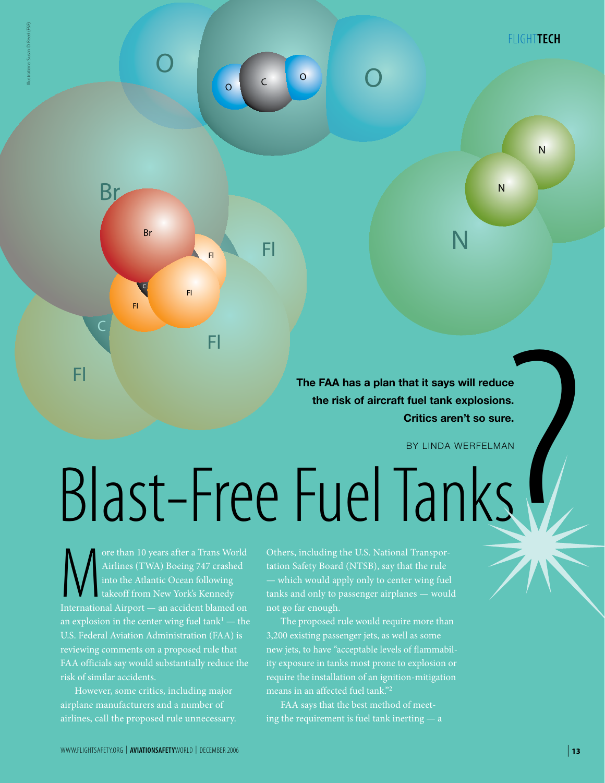N

N

**The FAA has a plan that it says will reduce the risk of aircraft fuel tank explosions. Critics aren't so sure.**

N

# nat it says will reduce<br>fuel tank explosions.<br>Critics aren't so sure.<br>BY LINDA WERFELMAN<br>TITranspor-<br>at the rule<br>pr wing fuel<br>nes — would Blast-Free Fuel Tanks

Fl

Fl

Fl

 $\begin{array}{|c|c|c|c|c|c|}\n\hline\n0 & 0 & 0 \\
\hline\n0 & 0 & 0\n\end{array}$ 

O

 $\circ$  c

Fl

ore than 10 years after a Trans World<br>Airlines (TWA) Boeing 747 crashed<br>into the Atlantic Ocean following<br>takeoff from New York's Kennedy<br>International Airport — an accident blamed on Airlines (TWA) Boeing 747 crashed into the Atlantic Ocean following takeoff from New York's Kennedy an explosion in the center wing fuel  $\tanh^1$  — the reviewing comments on a proposed rule that risk of similar accidents.

Fl

 $\subset$ 

Fl

C

Br

Br

Illustrations: Susan D. Reed (FSF)

However, some critics, including major airplane manufacturers and a number of

Others, including the U.S. National Transpor-— which would apply only to center wing fuel tanks and only to passenger airplanes — would not go far enough.

The proposed rule would require more than 3,200 existing passenger jets, as well as some new jets, to have "acceptable levels of flammability exposure in tanks most prone to explosion or require the installation of an ignition-mitigation means in an affected fuel tank."2

FAA says that the best method of meeting the requirement is fuel tank inerting — a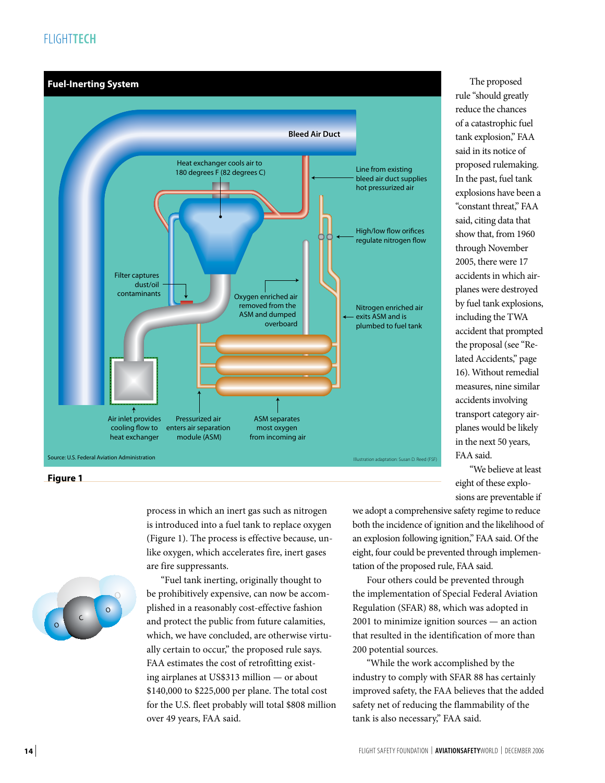# FLIGHT**tech**



**Figure 1**

process in which an inert gas such as nitrogen is introduced into a fuel tank to replace oxygen (Figure 1). The process is effective because, unlike oxygen, which accelerates fire, inert gases are fire suppressants.

OOCOO

"Fuel tank inerting, originally thought to be prohibitively expensive, can now be accomplished in a reasonably cost-effective fashion and protect the public from future calamities, which, we have concluded, are otherwise virtually certain to occur," the proposed rule says. FAA estimates the cost of retrofitting existing airplanes at US\$313 million — or about \$140,000 to \$225,000 per plane. The total cost for the U.S. fleet probably will total \$808 million over 49 years, FAA said.

rule "should greatly reduce the chances of a catastrophic fuel tank explosion," FAA said in its notice of proposed rulemaking. In the past, fuel tank explosions have been a "constant threat," FAA said, citing data that show that, from 1960 through November 2005, there were 17 accidents in which airplanes were destroyed by fuel tank explosions, including the TWA accident that prompted the proposal (see "Related Accidents," page 16). Without remedial measures, nine similar accidents involving transport category airplanes would be likely in the next 50 years, FAA said.

The proposed

"We believe at least eight of these explosions are preventable if

we adopt a comprehensive safety regime to reduce both the incidence of ignition and the likelihood of an explosion following ignition," FAA said. Of the eight, four could be prevented through implementation of the proposed rule, FAA said.

Four others could be prevented through the implementation of Special Federal Aviation Regulation (SFAR) 88, which was adopted in 2001 to minimize ignition sources — an action that resulted in the identification of more than 200 potential sources.

"While the work accomplished by the industry to comply with SFAR 88 has certainly improved safety, the FAA believes that the added safety net of reducing the flammability of the tank is also necessary," FAA said.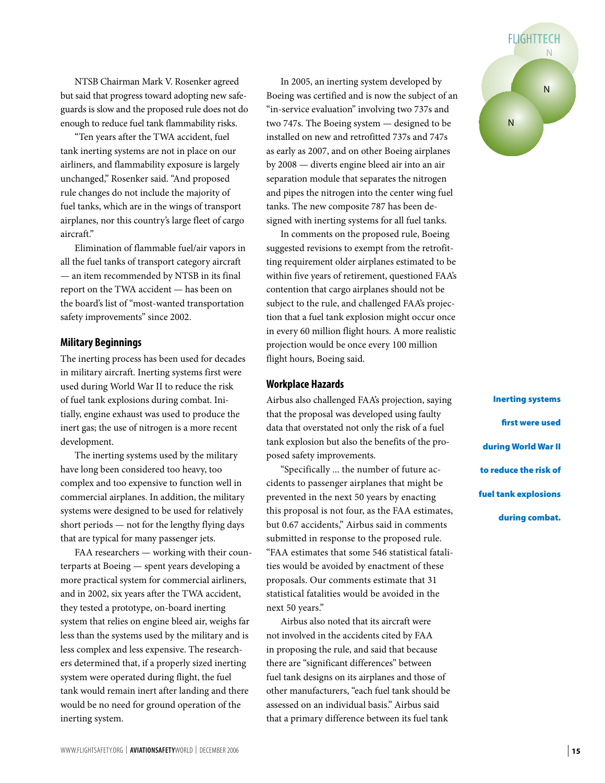NTSB Chairman Mark V. Rosenker agreed but said that progress toward adopting new safeguards is slow and the proposed rule does not do enough to reduce fuel tank flammability risks.

"Ten years after the TWA accident, fuel tank inerting systems are not in place on our airliners, and flammability exposure is largely unchanged," Rosenker said. "And proposed rule changes do not include the majority of fuel tanks, which are in the wings of transport airplanes, nor this country's large fleet of cargo aircraft."

Elimination of flammable fuel/air vapors in all the fuel tanks of transport category aircraft — an item recommended by NTSB in its final report on the TWA accident — has been on the board's list of "most-wanted transportation safety improvements" since 2002.

### **Military Beginnings**

The inerting process has been used for decades in military aircraft. Inerting systems first were used during World War II to reduce the risk of fuel tank explosions during combat. Initially, engine exhaust was used to produce the inert gas; the use of nitrogen is a more recent development.

The inerting systems used by the military have long been considered too heavy, too complex and too expensive to function well in commercial airplanes. In addition, the military systems were designed to be used for relatively short periods — not for the lengthy flying days that are typical for many passenger jets.

FAA researchers — working with their counterparts at Boeing — spent years developing a more practical system for commercial airliners, and in 2002, six years after the TWA accident, they tested a prototype, on-board inerting system that relies on engine bleed air, weighs far less than the systems used by the military and is less complex and less expensive. The researchers determined that, if a properly sized inerting system were operated during flight, the fuel tank would remain inert after landing and there would be no need for ground operation of the inerting system.

In 2005, an inerting system developed by Boeing was certified and is now the subject of an "in-service evaluation" involving two 737s and two 747s. The Boeing system — designed to be installed on new and retrofitted 737s and 747s as early as 2007, and on other Boeing airplanes by 2008 — diverts engine bleed air into an air separation module that separates the nitrogen and pipes the nitrogen into the center wing fuel tanks. The new composite 787 has been designed with inerting systems for all fuel tanks.

In comments on the proposed rule, Boeing suggested revisions to exempt from the retrofitting requirement older airplanes estimated to be within five years of retirement, questioned FAA's contention that cargo airplanes should not be subject to the rule, and challenged FAA's projection that a fuel tank explosion might occur once in every 60 million flight hours. A more realistic projection would be once every 100 million flight hours, Boeing said.

### **Workplace Hazards**

Airbus also challenged FAA's projection, saying that the proposal was developed using faulty data that overstated not only the risk of a fuel tank explosion but also the benefits of the proposed safety improvements.

"Specifically ... the number of future accidents to passenger airplanes that might be prevented in the next 50 years by enacting this proposal is not four, as the FAA estimates, but 0.67 accidents," Airbus said in comments submitted in response to the proposed rule. "FAA estimates that some 546 statistical fatalities would be avoided by enactment of these proposals. Our comments estimate that 31 statistical fatalities would be avoided in the next 50 years."

Airbus also noted that its aircraft were not involved in the accidents cited by FAA in proposing the rule, and said that because there are "significant differences" between fuel tank designs on its airplanes and those of other manufacturers, "each fuel tank should be assessed on an individual basis." Airbus said that a primary difference between its fuel tank



Inerting systems first were used during World War II to reduce the risk of fuel tank explosions during combat.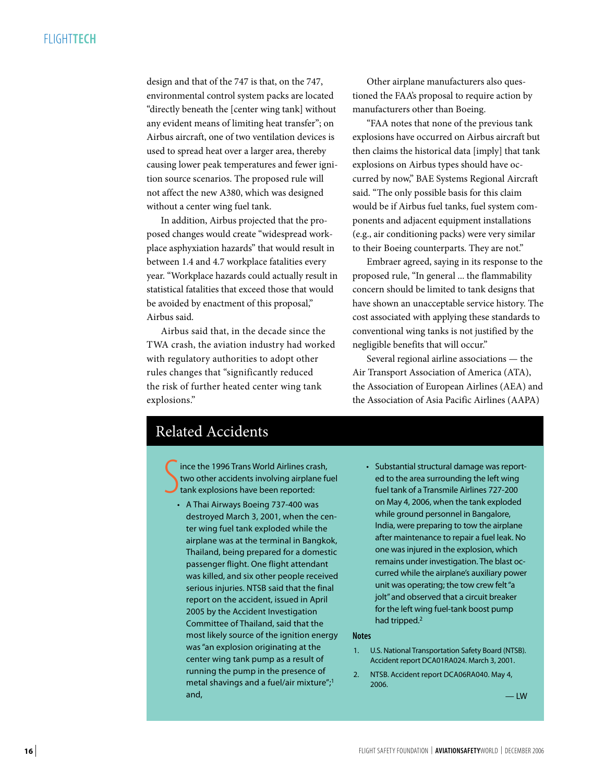# FLIGHT**tech**

design and that of the 747 is that, on the 747, environmental control system packs are located "directly beneath the [center wing tank] without any evident means of limiting heat transfer"; on Airbus aircraft, one of two ventilation devices is used to spread heat over a larger area, thereby causing lower peak temperatures and fewer ignition source scenarios. The proposed rule will not affect the new A380, which was designed without a center wing fuel tank.

In addition, Airbus projected that the proposed changes would create "widespread workplace asphyxiation hazards" that would result in between 1.4 and 4.7 workplace fatalities every year. "Workplace hazards could actually result in statistical fatalities that exceed those that would be avoided by enactment of this proposal," Airbus said.

Airbus said that, in the decade since the TWA crash, the aviation industry had worked with regulatory authorities to adopt other rules changes that "significantly reduced the risk of further heated center wing tank explosions."

Other airplane manufacturers also questioned the FAA's proposal to require action by manufacturers other than Boeing.

"FAA notes that none of the previous tank explosions have occurred on Airbus aircraft but then claims the historical data [imply] that tank explosions on Airbus types should have occurred by now," BAE Systems Regional Aircraft said. "The only possible basis for this claim would be if Airbus fuel tanks, fuel system components and adjacent equipment installations (e.g., air conditioning packs) were very similar to their Boeing counterparts. They are not."

Embraer agreed, saying in its response to the proposed rule, "In general ... the flammability concern should be limited to tank designs that have shown an unacceptable service history. The cost associated with applying these standards to conventional wing tanks is not justified by the negligible benefits that will occur."

Several regional airline associations — the Air Transport Association of America (ATA), the Association of European Airlines (AEA) and the Association of Asia Pacific Airlines (AAPA)

# Related Accidents

S ince the 1996 Trans World Airlines crash, two other accidents involving airplane fuel tank explosions have been reported:

- A Thai Airways Boeing 737-400 was destroyed March 3, 2001, when the center wing fuel tank exploded while the airplane was at the terminal in Bangkok, Thailand, being prepared for a domestic passenger flight. One flight attendant was killed, and six other people received serious injuries. NTSB said that the final report on the accident, issued in April 2005 by the Accident Investigation Committee of Thailand, said that the most likely source of the ignition energy was "an explosion originating at the center wing tank pump as a result of running the pump in the presence of metal shavings and a fuel/air mixture";1 and,
- Substantial structural damage was reported to the area surrounding the left wing fuel tank of a Transmile Airlines 727-200 on May 4, 2006, when the tank exploded while ground personnel in Bangalore, India, were preparing to tow the airplane after maintenance to repair a fuel leak. No one was injured in the explosion, which remains under investigation. The blast occurred while the airplane's auxiliary power unit was operating; the tow crew felt "a jolt" and observed that a circuit breaker for the left wing fuel-tank boost pump had tripped.<sup>2</sup>

### **Notes**

- 1. U.S. National Transportation Safety Board (NTSB). Accident report DCA01RA024. March 3, 2001.
- 2. NTSB. Accident report DCA06RA040. May 4, 2006.

— LW